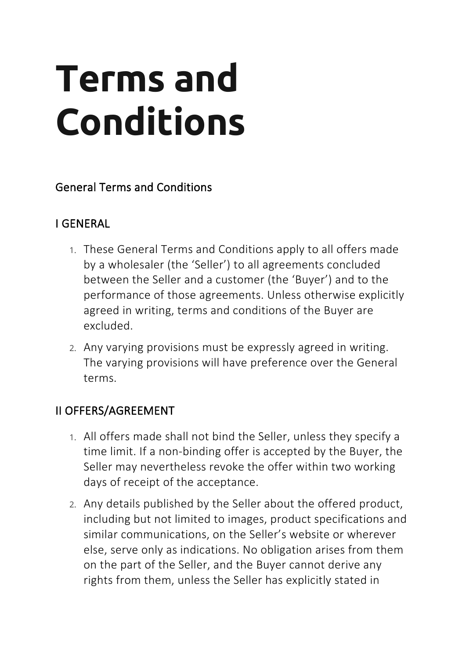# **Terms and Conditions**

#### General Terms and Conditions

# I GENERAL

- 1. These General Terms and Conditions apply to all offers made by a wholesaler (the 'Seller') to all agreements concluded between the Seller and a customer (the 'Buyer') and to the performance of those agreements. Unless otherwise explicitly agreed in writing, terms and conditions of the Buyer are excluded.
- 2. Any varying provisions must be expressly agreed in writing. The varying provisions will have preference over the General terms.

# II OFFERS/AGREEMENT

- 1. All offers made shall not bind the Seller, unless they specify a time limit. If a non-binding offer is accepted by the Buyer, the Seller may nevertheless revoke the offer within two working days of receipt of the acceptance.
- 2. Any details published by the Seller about the offered product, including but not limited to images, product specifications and similar communications, on the Seller's website or wherever else, serve only as indications. No obligation arises from them on the part of the Seller, and the Buyer cannot derive any rights from them, unless the Seller has explicitly stated in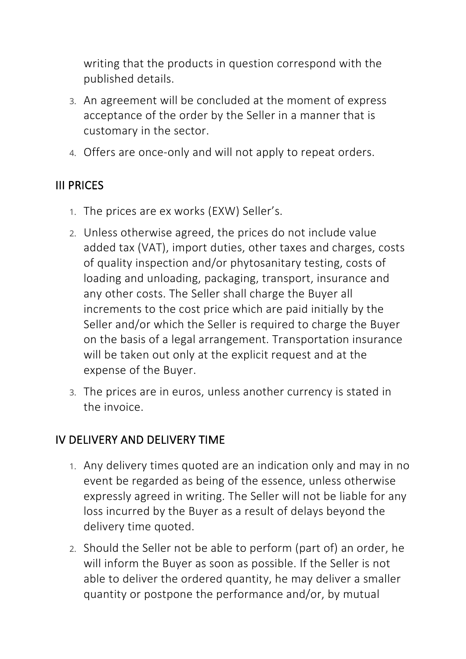writing that the products in question correspond with the published details.

- 3. An agreement will be concluded at the moment of express acceptance of the order by the Seller in a manner that is customary in the sector.
- 4. Offers are once-only and will not apply to repeat orders.

# III PRICES

- 1. The prices are ex works (EXW) Seller's.
- 2. Unless otherwise agreed, the prices do not include value added tax (VAT), import duties, other taxes and charges, costs of quality inspection and/or phytosanitary testing, costs of loading and unloading, packaging, transport, insurance and any other costs. The Seller shall charge the Buyer all increments to the cost price which are paid initially by the Seller and/or which the Seller is required to charge the Buyer on the basis of a legal arrangement. Transportation insurance will be taken out only at the explicit request and at the expense of the Buyer.
- 3. The prices are in euros, unless another currency is stated in the invoice.

#### IV DELIVERY AND DELIVERY TIME

- 1. Any delivery times quoted are an indication only and may in no event be regarded as being of the essence, unless otherwise expressly agreed in writing. The Seller will not be liable for any loss incurred by the Buyer as a result of delays beyond the delivery time quoted.
- 2. Should the Seller not be able to perform (part of) an order, he will inform the Buyer as soon as possible. If the Seller is not able to deliver the ordered quantity, he may deliver a smaller quantity or postpone the performance and/or, by mutual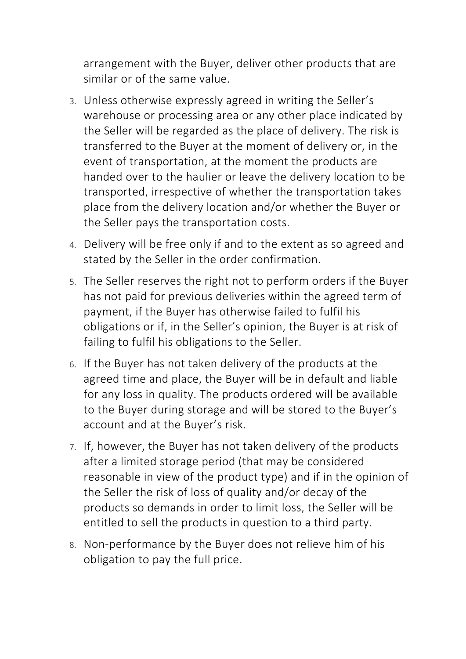arrangement with the Buyer, deliver other products that are similar or of the same value.

- 3. Unless otherwise expressly agreed in writing the Seller's warehouse or processing area or any other place indicated by the Seller will be regarded as the place of delivery. The risk is transferred to the Buyer at the moment of delivery or, in the event of transportation, at the moment the products are handed over to the haulier or leave the delivery location to be transported, irrespective of whether the transportation takes place from the delivery location and/or whether the Buyer or the Seller pays the transportation costs.
- 4. Delivery will be free only if and to the extent as so agreed and stated by the Seller in the order confirmation.
- 5. The Seller reserves the right not to perform orders if the Buyer has not paid for previous deliveries within the agreed term of payment, if the Buyer has otherwise failed to fulfil his obligations or if, in the Seller's opinion, the Buyer is at risk of failing to fulfil his obligations to the Seller.
- 6. If the Buyer has not taken delivery of the products at the agreed time and place, the Buyer will be in default and liable for any loss in quality. The products ordered will be available to the Buyer during storage and will be stored to the Buyer's account and at the Buyer's risk.
- 7. If, however, the Buyer has not taken delivery of the products after a limited storage period (that may be considered reasonable in view of the product type) and if in the opinion of the Seller the risk of loss of quality and/or decay of the products so demands in order to limit loss, the Seller will be entitled to sell the products in question to a third party.
- 8. Non-performance by the Buyer does not relieve him of his obligation to pay the full price.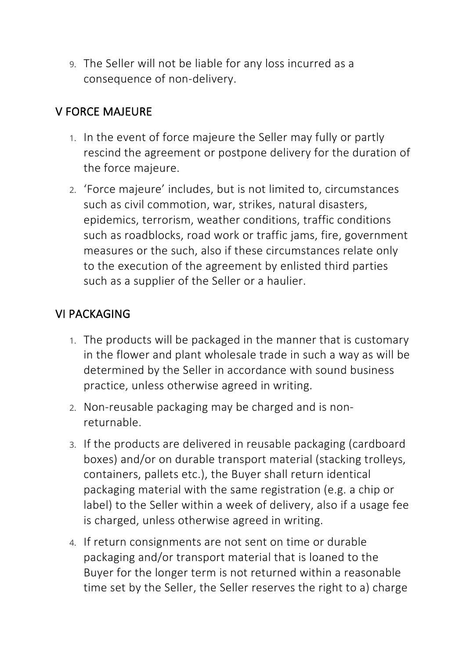9. The Seller will not be liable for any loss incurred as a consequence of non-delivery.

#### V FORCE MAJEURE

- 1. In the event of force majeure the Seller may fully or partly rescind the agreement or postpone delivery for the duration of the force majeure.
- 2. 'Force majeure' includes, but is not limited to, circumstances such as civil commotion, war, strikes, natural disasters, epidemics, terrorism, weather conditions, traffic conditions such as roadblocks, road work or traffic jams, fire, government measures or the such, also if these circumstances relate only to the execution of the agreement by enlisted third parties such as a supplier of the Seller or a haulier.

# VI PACKAGING

- 1. The products will be packaged in the manner that is customary in the flower and plant wholesale trade in such a way as will be determined by the Seller in accordance with sound business practice, unless otherwise agreed in writing.
- 2. Non-reusable packaging may be charged and is nonreturnable.
- 3. If the products are delivered in reusable packaging (cardboard boxes) and/or on durable transport material (stacking trolleys, containers, pallets etc.), the Buyer shall return identical packaging material with the same registration (e.g. a chip or label) to the Seller within a week of delivery, also if a usage fee is charged, unless otherwise agreed in writing.
- 4. If return consignments are not sent on time or durable packaging and/or transport material that is loaned to the Buyer for the longer term is not returned within a reasonable time set by the Seller, the Seller reserves the right to a) charge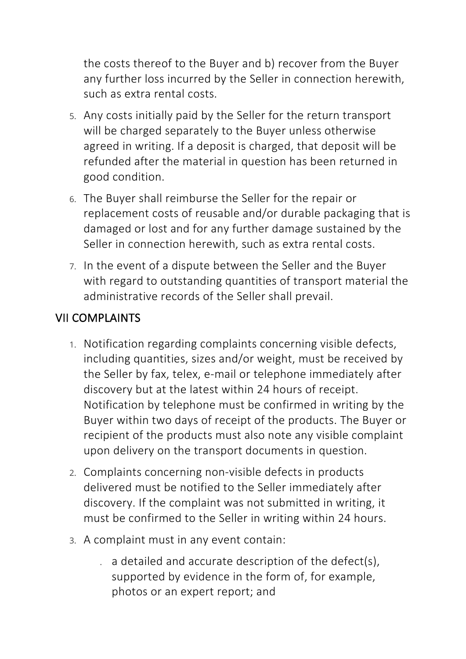the costs thereof to the Buyer and b) recover from the Buyer any further loss incurred by the Seller in connection herewith, such as extra rental costs.

- 5. Any costs initially paid by the Seller for the return transport will be charged separately to the Buyer unless otherwise agreed in writing. If a deposit is charged, that deposit will be refunded after the material in question has been returned in good condition.
- 6. The Buyer shall reimburse the Seller for the repair or replacement costs of reusable and/or durable packaging that is damaged or lost and for any further damage sustained by the Seller in connection herewith, such as extra rental costs.
- 7. In the event of a dispute between the Seller and the Buyer with regard to outstanding quantities of transport material the administrative records of the Seller shall prevail.

# VII COMPLAINTS

- 1. Notification regarding complaints concerning visible defects, including quantities, sizes and/or weight, must be received by the Seller by fax, telex, e-mail or telephone immediately after discovery but at the latest within 24 hours of receipt. Notification by telephone must be confirmed in writing by the Buyer within two days of receipt of the products. The Buyer or recipient of the products must also note any visible complaint upon delivery on the transport documents in question.
- 2. Complaints concerning non-visible defects in products delivered must be notified to the Seller immediately after discovery. If the complaint was not submitted in writing, it must be confirmed to the Seller in writing within 24 hours.
- 3. A complaint must in any event contain:
	- . a detailed and accurate description of the defect(s), supported by evidence in the form of, for example, photos or an expert report; and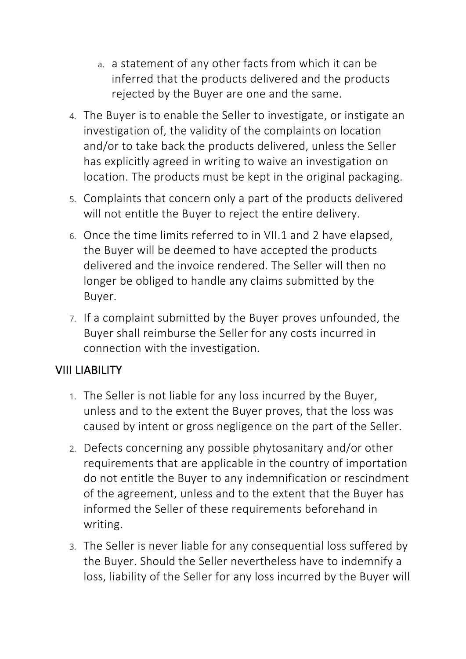- a. a statement of any other facts from which it can be inferred that the products delivered and the products rejected by the Buyer are one and the same.
- 4. The Buyer is to enable the Seller to investigate, or instigate an investigation of, the validity of the complaints on location and/or to take back the products delivered, unless the Seller has explicitly agreed in writing to waive an investigation on location. The products must be kept in the original packaging.
- 5. Complaints that concern only a part of the products delivered will not entitle the Buyer to reject the entire delivery.
- 6. Once the time limits referred to in VII.1 and 2 have elapsed, the Buyer will be deemed to have accepted the products delivered and the invoice rendered. The Seller will then no longer be obliged to handle any claims submitted by the Buyer.
- 7. If a complaint submitted by the Buyer proves unfounded, the Buyer shall reimburse the Seller for any costs incurred in connection with the investigation.

# VIII LIABILITY

- 1. The Seller is not liable for any loss incurred by the Buyer, unless and to the extent the Buyer proves, that the loss was caused by intent or gross negligence on the part of the Seller.
- 2. Defects concerning any possible phytosanitary and/or other requirements that are applicable in the country of importation do not entitle the Buyer to any indemnification or rescindment of the agreement, unless and to the extent that the Buyer has informed the Seller of these requirements beforehand in writing.
- 3. The Seller is never liable for any consequential loss suffered by the Buyer. Should the Seller nevertheless have to indemnify a loss, liability of the Seller for any loss incurred by the Buyer will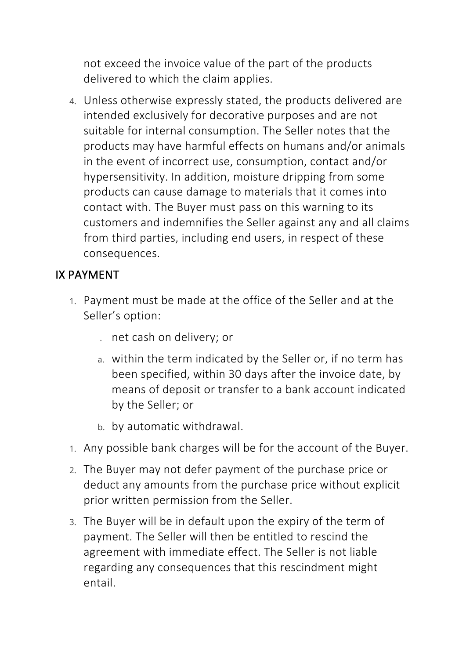not exceed the invoice value of the part of the products delivered to which the claim applies.

4. Unless otherwise expressly stated, the products delivered are intended exclusively for decorative purposes and are not suitable for internal consumption. The Seller notes that the products may have harmful effects on humans and/or animals in the event of incorrect use, consumption, contact and/or hypersensitivity. In addition, moisture dripping from some products can cause damage to materials that it comes into contact with. The Buyer must pass on this warning to its customers and indemnifies the Seller against any and all claims from third parties, including end users, in respect of these consequences.

# IX PAYMENT

- 1. Payment must be made at the office of the Seller and at the Seller's option:
	- . net cash on delivery; or
	- a. within the term indicated by the Seller or, if no term has been specified, within 30 days after the invoice date, by means of deposit or transfer to a bank account indicated by the Seller; or
	- b. by automatic withdrawal.
- 1. Any possible bank charges will be for the account of the Buyer.
- 2. The Buyer may not defer payment of the purchase price or deduct any amounts from the purchase price without explicit prior written permission from the Seller.
- 3. The Buyer will be in default upon the expiry of the term of payment. The Seller will then be entitled to rescind the agreement with immediate effect. The Seller is not liable regarding any consequences that this rescindment might entail.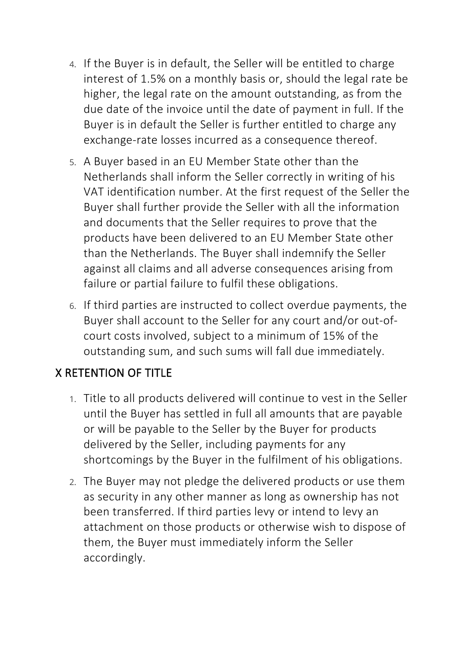- 4. If the Buyer is in default, the Seller will be entitled to charge interest of 1.5% on a monthly basis or, should the legal rate be higher, the legal rate on the amount outstanding, as from the due date of the invoice until the date of payment in full. If the Buyer is in default the Seller is further entitled to charge any exchange-rate losses incurred as a consequence thereof.
- 5. A Buyer based in an EU Member State other than the Netherlands shall inform the Seller correctly in writing of his VAT identification number. At the first request of the Seller the Buyer shall further provide the Seller with all the information and documents that the Seller requires to prove that the products have been delivered to an EU Member State other than the Netherlands. The Buyer shall indemnify the Seller against all claims and all adverse consequences arising from failure or partial failure to fulfil these obligations.
- 6. If third parties are instructed to collect overdue payments, the Buyer shall account to the Seller for any court and/or out-ofcourt costs involved, subject to a minimum of 15% of the outstanding sum, and such sums will fall due immediately.

# X RETENTION OF TITLE

- 1. Title to all products delivered will continue to vest in the Seller until the Buyer has settled in full all amounts that are payable or will be payable to the Seller by the Buyer for products delivered by the Seller, including payments for any shortcomings by the Buyer in the fulfilment of his obligations.
- 2. The Buyer may not pledge the delivered products or use them as security in any other manner as long as ownership has not been transferred. If third parties levy or intend to levy an attachment on those products or otherwise wish to dispose of them, the Buyer must immediately inform the Seller accordingly.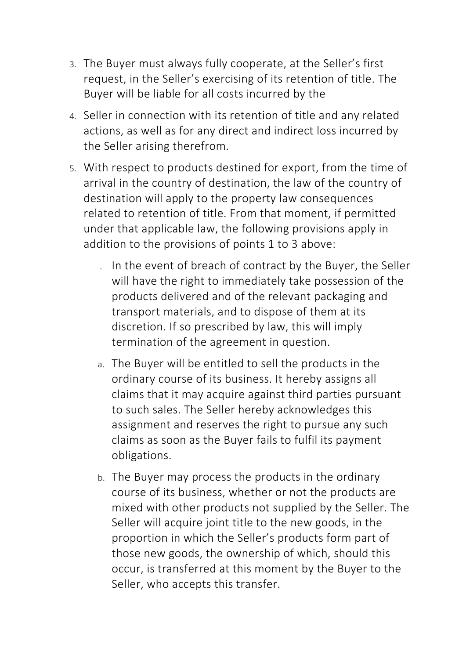- 3. The Buyer must always fully cooperate, at the Seller's first request, in the Seller's exercising of its retention of title. The Buyer will be liable for all costs incurred by the
- 4. Seller in connection with its retention of title and any related actions, as well as for any direct and indirect loss incurred by the Seller arising therefrom.
- 5. With respect to products destined for export, from the time of arrival in the country of destination, the law of the country of destination will apply to the property law consequences related to retention of title. From that moment, if permitted under that applicable law, the following provisions apply in addition to the provisions of points 1 to 3 above:
	- . In the event of breach of contract by the Buyer, the Seller will have the right to immediately take possession of the products delivered and of the relevant packaging and transport materials, and to dispose of them at its discretion. If so prescribed by law, this will imply termination of the agreement in question.
	- a. The Buyer will be entitled to sell the products in the ordinary course of its business. It hereby assigns all claims that it may acquire against third parties pursuant to such sales. The Seller hereby acknowledges this assignment and reserves the right to pursue any such claims as soon as the Buyer fails to fulfil its payment obligations.
	- b. The Buyer may process the products in the ordinary course of its business, whether or not the products are mixed with other products not supplied by the Seller. The Seller will acquire joint title to the new goods, in the proportion in which the Seller's products form part of those new goods, the ownership of which, should this occur, is transferred at this moment by the Buyer to the Seller, who accepts this transfer.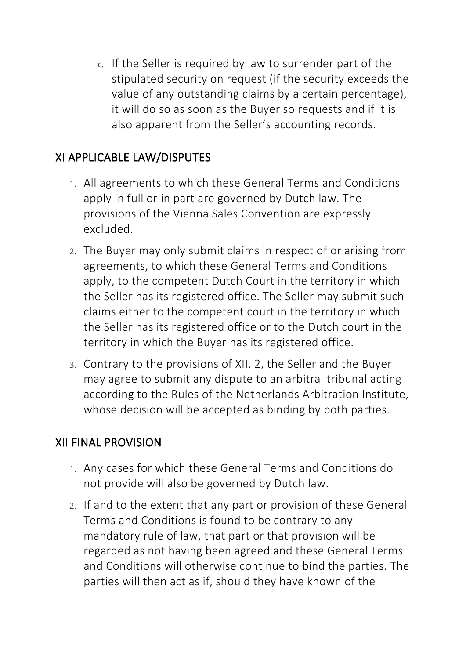c. If the Seller is required by law to surrender part of the stipulated security on request (if the security exceeds the value of any outstanding claims by a certain percentage), it will do so as soon as the Buyer so requests and if it is also apparent from the Seller's accounting records.

# XI APPLICABLE LAW/DISPUTES

- 1. All agreements to which these General Terms and Conditions apply in full or in part are governed by Dutch law. The provisions of the Vienna Sales Convention are expressly excluded.
- 2. The Buyer may only submit claims in respect of or arising from agreements, to which these General Terms and Conditions apply, to the competent Dutch Court in the territory in which the Seller has its registered office. The Seller may submit such claims either to the competent court in the territory in which the Seller has its registered office or to the Dutch court in the territory in which the Buyer has its registered office.
- 3. Contrary to the provisions of XII. 2, the Seller and the Buyer may agree to submit any dispute to an arbitral tribunal acting according to the Rules of the Netherlands Arbitration Institute, whose decision will be accepted as binding by both parties.

#### XII FINAL PROVISION

- 1. Any cases for which these General Terms and Conditions do not provide will also be governed by Dutch law.
- 2. If and to the extent that any part or provision of these General Terms and Conditions is found to be contrary to any mandatory rule of law, that part or that provision will be regarded as not having been agreed and these General Terms and Conditions will otherwise continue to bind the parties. The parties will then act as if, should they have known of the